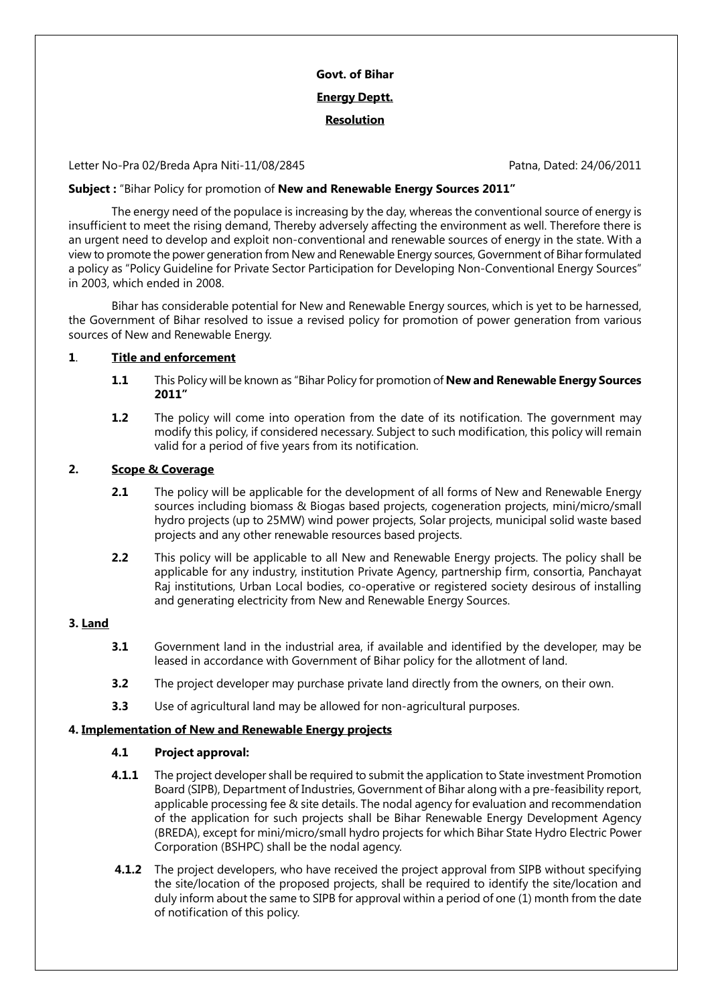# **Govt. of Bihar Energy Deptt. Resolution**

Letter No-Pra 02/Breda Apra Niti-11/08/2845 Patna, Dated: 24/06/2011

## **Subject :** "Bihar Policy for promotion of **New and Renewable Energy Sources 2011"**

The energy need of the populace is increasing by the day, whereas the conventional source of energy is insufficient to meet the rising demand, Thereby adversely affecting the environment as well. Therefore there is an urgent need to develop and exploit non-conventional and renewable sources of energy in the state. With a view to promote the power generation from New and Renewable Energy sources, Government of Bihar formulated a policy as "Policy Guideline for Private Sector Participation for Developing Non-Conventional Energy Sources" in 2003, which ended in 2008.

Bihar has considerable potential for New and Renewable Energy sources, which is yet to be harnessed, the Government of Bihar resolved to issue a revised policy for promotion of power generation from various sources of New and Renewable Energy.

## **1**. **Title and enforcement**

- **1.1** This Policy will be known as "Bihar Policy for promotion of **New and Renewable Energy Sources 2011"**
- **1.2** The policy will come into operation from the date of its notification. The government may modify this policy, if considered necessary. Subject to such modification, this policy will remain valid for a period of five years from its notification.

## **2. Scope & Coverage**

- **2.1** The policy will be applicable for the development of all forms of New and Renewable Energy sources including biomass & Biogas based projects, cogeneration projects, mini/micro/small hydro projects (up to 25MW) wind power projects, Solar projects, municipal solid waste based projects and any other renewable resources based projects.
- **2.2** This policy will be applicable to all New and Renewable Energy projects. The policy shall be applicable for any industry, institution Private Agency, partnership firm, consortia, Panchayat Raj institutions, Urban Local bodies, co-operative or registered society desirous of installing and generating electricity from New and Renewable Energy Sources.

## **3. Land**

- **3.1** Government land in the industrial area, if available and identified by the developer, may be leased in accordance with Government of Bihar policy for the allotment of land.
- **3.2** The project developer may purchase private land directly from the owners, on their own.
- **3.3** Use of agricultural land may be allowed for non-agricultural purposes.

## **4. Implementation of New and Renewable Energy projects**

## **4.1 Project approval:**

- **4.1.1** The project developer shall be required to submit the application to State investment Promotion Board (SIPB), Department of Industries, Government of Bihar along with a pre-feasibility report, applicable processing fee & site details. The nodal agency for evaluation and recommendation of the application for such projects shall be Bihar Renewable Energy Development Agency (BREDA), except for mini/micro/small hydro projects for which Bihar State Hydro Electric Power Corporation (BSHPC) shall be the nodal agency.
- **4.1.2** The project developers, who have received the project approval from SIPB without specifying the site/location of the proposed projects, shall be required to identify the site/location and duly inform about the same to SIPB for approval within a period of one (1) month from the date of notification of this policy.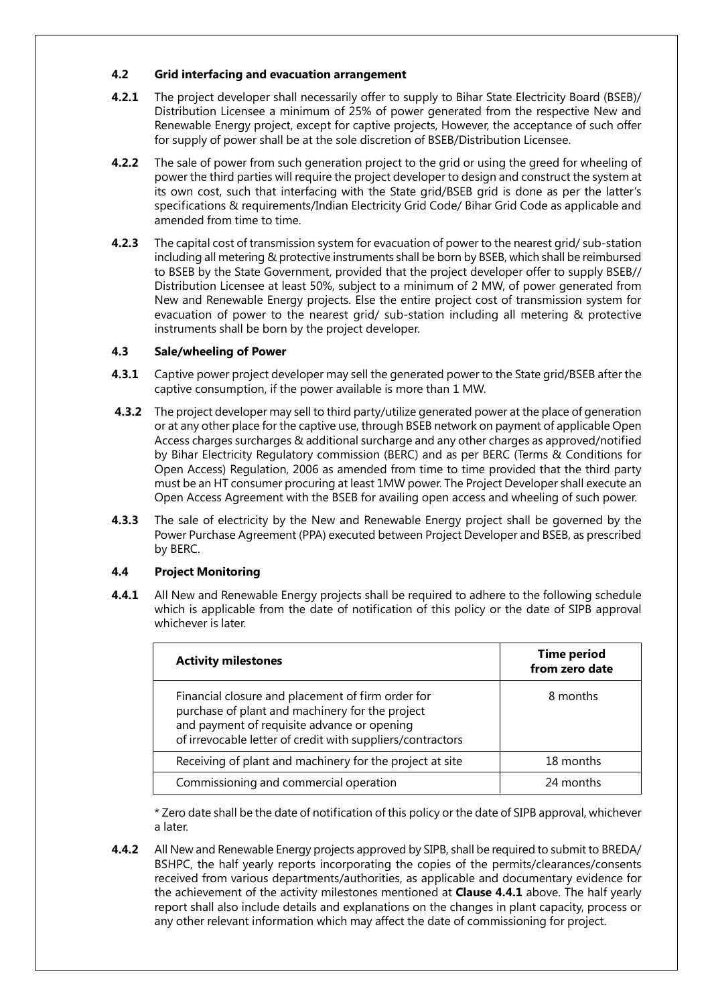## **4.2 Grid interfacing and evacuation arrangement**

- **4.2.1** The project developer shall necessarily offer to supply to Bihar State Electricity Board (BSEB)/ Distribution Licensee a minimum of 25% of power generated from the respective New and Renewable Energy project, except for captive projects, However, the acceptance of such offer for supply of power shall be at the sole discretion of BSEB/Distribution Licensee.
- **4.2.2** The sale of power from such generation project to the grid or using the greed for wheeling of power the third parties will require the project developer to design and construct the system at its own cost, such that interfacing with the State grid/BSEB grid is done as per the latter's specifications & requirements/Indian Electricity Grid Code/ Bihar Grid Code as applicable and amended from time to time.
- **4.2.3** The capital cost of transmission system for evacuation of power to the nearest grid/ sub-station including all metering & protective instruments shall be born by BSEB, which shall be reimbursed to BSEB by the State Government, provided that the project developer offer to supply BSEB// Distribution Licensee at least 50%, subject to a minimum of 2 MW, of power generated from New and Renewable Energy projects. Else the entire project cost of transmission system for evacuation of power to the nearest grid/ sub-station including all metering & protective instruments shall be born by the project developer.

# **4.3 Sale/wheeling of Power**

- **4.3.1** Captive power project developer may sell the generated power to the State grid/BSEB after the captive consumption, if the power available is more than 1 MW.
- **4.3.2** The project developer may sell to third party/utilize generated power at the place of generation or at any other place for the captive use, through BSEB network on payment of applicable Open Access charges surcharges & additional surcharge and any other charges as approved/notified by Bihar Electricity Regulatory commission (BERC) and as per BERC (Terms & Conditions for Open Access) Regulation, 2006 as amended from time to time provided that the third party must be an HT consumer procuring at least 1MW power. The Project Developer shall execute an Open Access Agreement with the BSEB for availing open access and wheeling of such power.
- **4.3.3** The sale of electricity by the New and Renewable Energy project shall be governed by the Power Purchase Agreement (PPA) executed between Project Developer and BSEB, as prescribed by BERC.

# **4.4 Project Monitoring**

**4.4.1** All New and Renewable Energy projects shall be required to adhere to the following schedule which is applicable from the date of notification of this policy or the date of SIPB approval whichever is later.

| <b>Activity milestones</b>                                                                                                                                                                                        | <b>Time period</b><br>from zero date |
|-------------------------------------------------------------------------------------------------------------------------------------------------------------------------------------------------------------------|--------------------------------------|
| Financial closure and placement of firm order for<br>purchase of plant and machinery for the project<br>and payment of requisite advance or opening<br>of irrevocable letter of credit with suppliers/contractors | 8 months                             |
| Receiving of plant and machinery for the project at site                                                                                                                                                          | 18 months                            |
| Commissioning and commercial operation                                                                                                                                                                            | 24 months                            |

\* Zero date shall be the date of notification of this policy or the date of SIPB approval, whichever a later.

**4.4.2** All New and Renewable Energy projects approved by SIPB, shall be required to submit to BREDA/ BSHPC, the half yearly reports incorporating the copies of the permits/clearances/consents received from various departments/authorities, as applicable and documentary evidence for the achievement of the activity milestones mentioned at **Clause 4.4.1** above. The half yearly report shall also include details and explanations on the changes in plant capacity, process or any other relevant information which may affect the date of commissioning for project.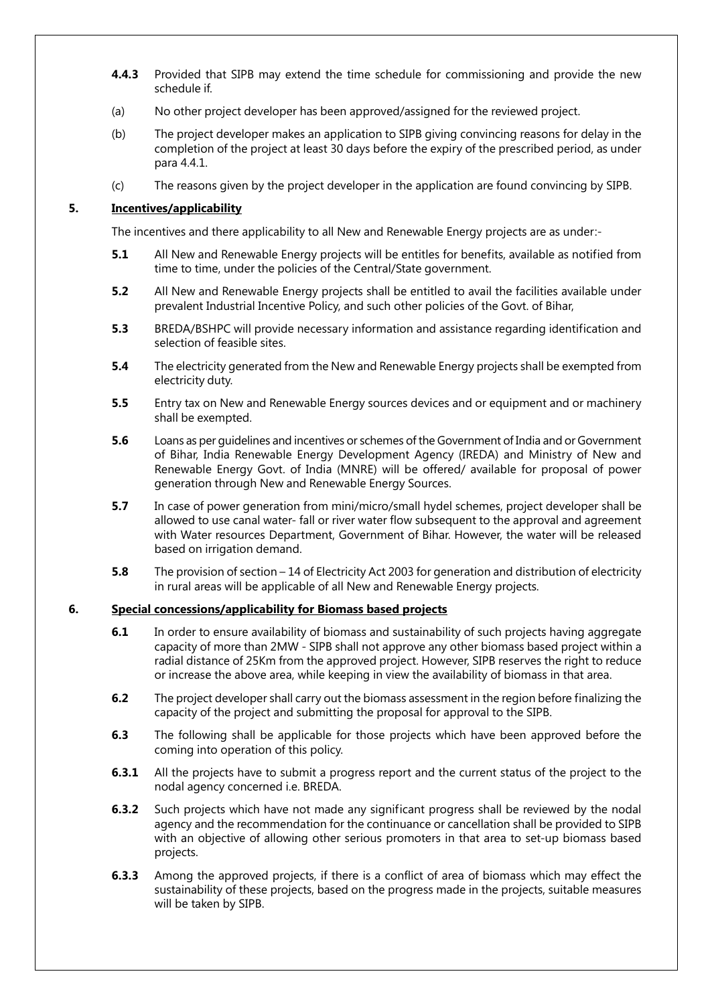- **4.4.3** Provided that SIPB may extend the time schedule for commissioning and provide the new schedule if.
- (a) No other project developer has been approved/assigned for the reviewed project.
- (b) The project developer makes an application to SIPB giving convincing reasons for delay in the completion of the project at least 30 days before the expiry of the prescribed period, as under para 4.4.1.
- (c) The reasons given by the project developer in the application are found convincing by SIPB.

#### **5. Incentives/applicability**

The incentives and there applicability to all New and Renewable Energy projects are as under:-

- **5.1** All New and Renewable Energy projects will be entitles for benefits, available as notified from time to time, under the policies of the Central/State government.
- **5.2** All New and Renewable Energy projects shall be entitled to avail the facilities available under prevalent Industrial Incentive Policy, and such other policies of the Govt. of Bihar,
- **5.3** BREDA/BSHPC will provide necessary information and assistance regarding identification and selection of feasible sites.
- **5.4** The electricity generated from the New and Renewable Energy projects shall be exempted from electricity duty.
- **5.5** Entry tax on New and Renewable Energy sources devices and or equipment and or machinery shall be exempted.
- **5.6** Loans as per guidelines and incentives or schemes of the Government of India and or Government of Bihar, India Renewable Energy Development Agency (IREDA) and Ministry of New and Renewable Energy Govt. of India (MNRE) will be offered/ available for proposal of power generation through New and Renewable Energy Sources.
- **5.7** In case of power generation from mini/micro/small hydel schemes, project developer shall be allowed to use canal water- fall or river water flow subsequent to the approval and agreement with Water resources Department, Government of Bihar. However, the water will be released based on irrigation demand.
- **5.8** The provision of section 14 of Electricity Act 2003 for generation and distribution of electricity in rural areas will be applicable of all New and Renewable Energy projects.

#### **6. Special concessions/applicability for Biomass based projects**

- **6.1** In order to ensure availability of biomass and sustainability of such projects having aggregate capacity of more than 2MW - SIPB shall not approve any other biomass based project within a radial distance of 25Km from the approved project. However, SIPB reserves the right to reduce or increase the above area, while keeping in view the availability of biomass in that area.
- **6.2** The project developer shall carry out the biomass assessment in the region before finalizing the capacity of the project and submitting the proposal for approval to the SIPB.
- **6.3** The following shall be applicable for those projects which have been approved before the coming into operation of this policy.
- **6.3.1** All the projects have to submit a progress report and the current status of the project to the nodal agency concerned i.e. BREDA.
- **6.3.2** Such projects which have not made any significant progress shall be reviewed by the nodal agency and the recommendation for the continuance or cancellation shall be provided to SIPB with an objective of allowing other serious promoters in that area to set-up biomass based projects.
- **6.3.3** Among the approved projects, if there is a conflict of area of biomass which may effect the sustainability of these projects, based on the progress made in the projects, suitable measures will be taken by SIPB.